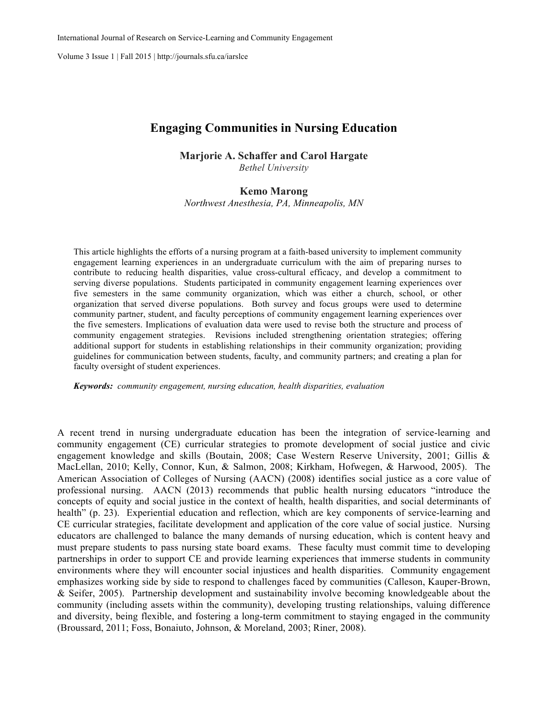Volume 3 Issue 1 | Fall 2015 | http://journals.sfu.ca/iarslce

## **Engaging Communities in Nursing Education**

**Marjorie A. Schaffer and Carol Hargate**

*Bethel University*

### **Kemo Marong**

*Northwest Anesthesia, PA, Minneapolis, MN*

This article highlights the efforts of a nursing program at a faith-based university to implement community engagement learning experiences in an undergraduate curriculum with the aim of preparing nurses to contribute to reducing health disparities, value cross-cultural efficacy, and develop a commitment to serving diverse populations. Students participated in community engagement learning experiences over five semesters in the same community organization, which was either a church, school, or other organization that served diverse populations. Both survey and focus groups were used to determine community partner, student, and faculty perceptions of community engagement learning experiences over the five semesters. Implications of evaluation data were used to revise both the structure and process of community engagement strategies. Revisions included strengthening orientation strategies; offering additional support for students in establishing relationships in their community organization; providing guidelines for communication between students, faculty, and community partners; and creating a plan for faculty oversight of student experiences.

*Keywords: community engagement, nursing education, health disparities, evaluation*

A recent trend in nursing undergraduate education has been the integration of service-learning and community engagement (CE) curricular strategies to promote development of social justice and civic engagement knowledge and skills (Boutain, 2008; Case Western Reserve University, 2001; Gillis & MacLellan, 2010; Kelly, Connor, Kun, & Salmon, 2008; Kirkham, Hofwegen, & Harwood, 2005). The American Association of Colleges of Nursing (AACN) (2008) identifies social justice as a core value of professional nursing. AACN (2013) recommends that public health nursing educators "introduce the concepts of equity and social justice in the context of health, health disparities, and social determinants of health" (p. 23). Experiential education and reflection, which are key components of service-learning and CE curricular strategies, facilitate development and application of the core value of social justice. Nursing educators are challenged to balance the many demands of nursing education, which is content heavy and must prepare students to pass nursing state board exams. These faculty must commit time to developing partnerships in order to support CE and provide learning experiences that immerse students in community environments where they will encounter social injustices and health disparities. Community engagement emphasizes working side by side to respond to challenges faced by communities (Calleson, Kauper-Brown, & Seifer, 2005). Partnership development and sustainability involve becoming knowledgeable about the community (including assets within the community), developing trusting relationships, valuing difference and diversity, being flexible, and fostering a long-term commitment to staying engaged in the community (Broussard, 2011; Foss, Bonaiuto, Johnson, & Moreland, 2003; Riner, 2008).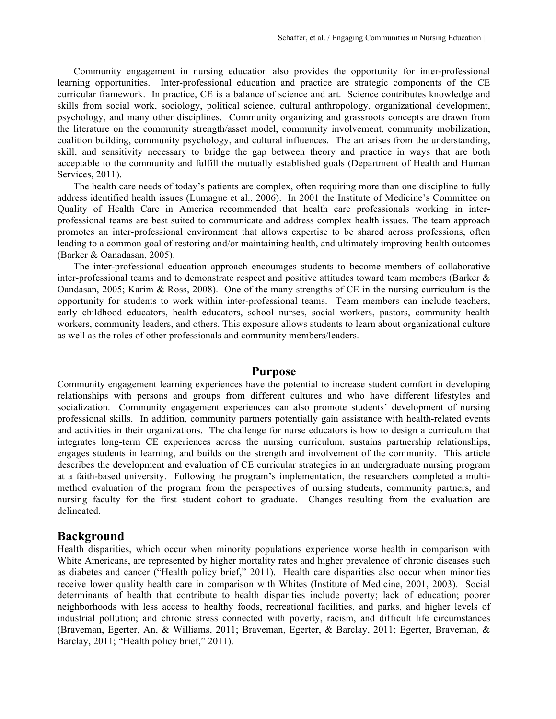Community engagement in nursing education also provides the opportunity for inter-professional learning opportunities. Inter-professional education and practice are strategic components of the CE curricular framework. In practice, CE is a balance of science and art. Science contributes knowledge and skills from social work, sociology, political science, cultural anthropology, organizational development, psychology, and many other disciplines. Community organizing and grassroots concepts are drawn from the literature on the community strength/asset model, community involvement, community mobilization, coalition building, community psychology, and cultural influences. The art arises from the understanding, skill, and sensitivity necessary to bridge the gap between theory and practice in ways that are both acceptable to the community and fulfill the mutually established goals (Department of Health and Human Services, 2011).

The health care needs of today's patients are complex, often requiring more than one discipline to fully address identified health issues (Lumague et al., 2006). In 2001 the Institute of Medicine's Committee on Quality of Health Care in America recommended that health care professionals working in interprofessional teams are best suited to communicate and address complex health issues. The team approach promotes an inter-professional environment that allows expertise to be shared across professions, often leading to a common goal of restoring and/or maintaining health, and ultimately improving health outcomes (Barker & Oanadasan, 2005).

The inter-professional education approach encourages students to become members of collaborative inter-professional teams and to demonstrate respect and positive attitudes toward team members (Barker  $\&$ Oandasan, 2005; Karim & Ross, 2008). One of the many strengths of CE in the nursing curriculum is the opportunity for students to work within inter-professional teams. Team members can include teachers, early childhood educators, health educators, school nurses, social workers, pastors, community health workers, community leaders, and others. This exposure allows students to learn about organizational culture as well as the roles of other professionals and community members/leaders.

## **Purpose**

Community engagement learning experiences have the potential to increase student comfort in developing relationships with persons and groups from different cultures and who have different lifestyles and socialization. Community engagement experiences can also promote students' development of nursing professional skills. In addition, community partners potentially gain assistance with health-related events and activities in their organizations. The challenge for nurse educators is how to design a curriculum that integrates long-term CE experiences across the nursing curriculum, sustains partnership relationships, engages students in learning, and builds on the strength and involvement of the community. This article describes the development and evaluation of CE curricular strategies in an undergraduate nursing program at a faith-based university. Following the program's implementation, the researchers completed a multimethod evaluation of the program from the perspectives of nursing students, community partners, and nursing faculty for the first student cohort to graduate. Changes resulting from the evaluation are delineated.

## **Background**

Health disparities, which occur when minority populations experience worse health in comparison with White Americans, are represented by higher mortality rates and higher prevalence of chronic diseases such as diabetes and cancer ("Health policy brief," 2011). Health care disparities also occur when minorities receive lower quality health care in comparison with Whites (Institute of Medicine, 2001, 2003). Social determinants of health that contribute to health disparities include poverty; lack of education; poorer neighborhoods with less access to healthy foods, recreational facilities, and parks, and higher levels of industrial pollution; and chronic stress connected with poverty, racism, and difficult life circumstances (Braveman, Egerter, An, & Williams, 2011; Braveman, Egerter, & Barclay, 2011; Egerter, Braveman, & Barclay, 2011; "Health policy brief," 2011).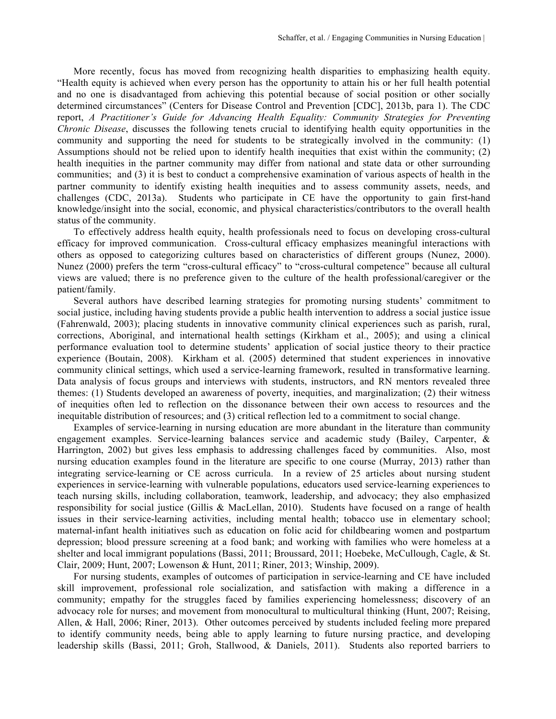More recently, focus has moved from recognizing health disparities to emphasizing health equity. "Health equity is achieved when every person has the opportunity to attain his or her full health potential and no one is disadvantaged from achieving this potential because of social position or other socially determined circumstances" (Centers for Disease Control and Prevention [CDC], 2013b, para 1). The CDC report, *A Practitioner's Guide for Advancing Health Equality: Community Strategies for Preventing Chronic Disease*, discusses the following tenets crucial to identifying health equity opportunities in the community and supporting the need for students to be strategically involved in the community: (1) Assumptions should not be relied upon to identify health inequities that exist within the community; (2) health inequities in the partner community may differ from national and state data or other surrounding communities; and (3) it is best to conduct a comprehensive examination of various aspects of health in the partner community to identify existing health inequities and to assess community assets, needs, and challenges (CDC, 2013a). Students who participate in CE have the opportunity to gain first-hand knowledge/insight into the social, economic, and physical characteristics/contributors to the overall health status of the community.

To effectively address health equity, health professionals need to focus on developing cross-cultural efficacy for improved communication. Cross-cultural efficacy emphasizes meaningful interactions with others as opposed to categorizing cultures based on characteristics of different groups (Nunez, 2000). Nunez (2000) prefers the term "cross-cultural efficacy" to "cross-cultural competence" because all cultural views are valued; there is no preference given to the culture of the health professional/caregiver or the patient/family.

Several authors have described learning strategies for promoting nursing students' commitment to social justice, including having students provide a public health intervention to address a social justice issue (Fahrenwald, 2003); placing students in innovative community clinical experiences such as parish, rural, corrections, Aboriginal, and international health settings (Kirkham et al., 2005); and using a clinical performance evaluation tool to determine students' application of social justice theory to their practice experience (Boutain, 2008). Kirkham et al. (2005) determined that student experiences in innovative community clinical settings, which used a service-learning framework, resulted in transformative learning. Data analysis of focus groups and interviews with students, instructors, and RN mentors revealed three themes: (1) Students developed an awareness of poverty, inequities, and marginalization; (2) their witness of inequities often led to reflection on the dissonance between their own access to resources and the inequitable distribution of resources; and (3) critical reflection led to a commitment to social change.

Examples of service-learning in nursing education are more abundant in the literature than community engagement examples. Service-learning balances service and academic study (Bailey, Carpenter, & Harrington, 2002) but gives less emphasis to addressing challenges faced by communities. Also, most nursing education examples found in the literature are specific to one course (Murray, 2013) rather than integrating service-learning or CE across curricula. In a review of 25 articles about nursing student experiences in service-learning with vulnerable populations, educators used service-learning experiences to teach nursing skills, including collaboration, teamwork, leadership, and advocacy; they also emphasized responsibility for social justice (Gillis & MacLellan, 2010). Students have focused on a range of health issues in their service-learning activities, including mental health; tobacco use in elementary school; maternal-infant health initiatives such as education on folic acid for childbearing women and postpartum depression; blood pressure screening at a food bank; and working with families who were homeless at a shelter and local immigrant populations (Bassi, 2011; Broussard, 2011; Hoebeke, McCullough, Cagle, & St. Clair, 2009; Hunt, 2007; Lowenson & Hunt, 2011; Riner, 2013; Winship, 2009).

For nursing students, examples of outcomes of participation in service-learning and CE have included skill improvement, professional role socialization, and satisfaction with making a difference in a community; empathy for the struggles faced by families experiencing homelessness; discovery of an advocacy role for nurses; and movement from monocultural to multicultural thinking (Hunt, 2007; Reising, Allen, & Hall, 2006; Riner, 2013). Other outcomes perceived by students included feeling more prepared to identify community needs, being able to apply learning to future nursing practice, and developing leadership skills (Bassi, 2011; Groh, Stallwood, & Daniels, 2011). Students also reported barriers to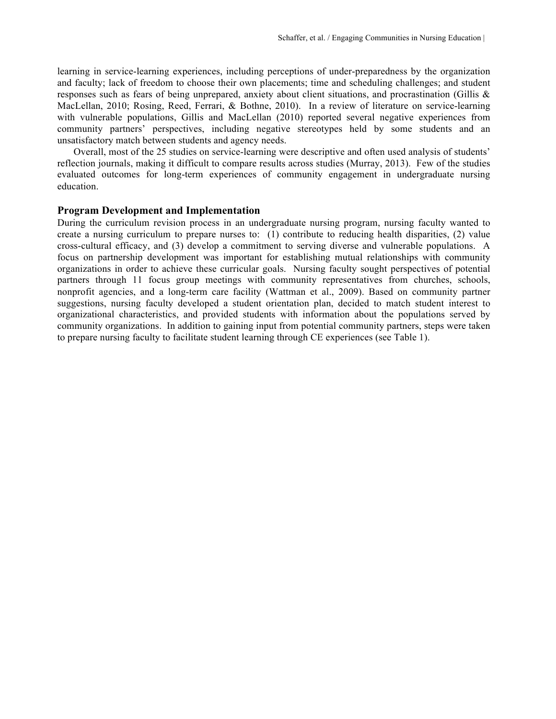learning in service-learning experiences, including perceptions of under-preparedness by the organization and faculty; lack of freedom to choose their own placements; time and scheduling challenges; and student responses such as fears of being unprepared, anxiety about client situations, and procrastination (Gillis & MacLellan, 2010; Rosing, Reed, Ferrari, & Bothne, 2010). In a review of literature on service-learning with vulnerable populations, Gillis and MacLellan (2010) reported several negative experiences from community partners' perspectives, including negative stereotypes held by some students and an unsatisfactory match between students and agency needs.

Overall, most of the 25 studies on service-learning were descriptive and often used analysis of students' reflection journals, making it difficult to compare results across studies (Murray, 2013). Few of the studies evaluated outcomes for long-term experiences of community engagement in undergraduate nursing education.

#### **Program Development and Implementation**

During the curriculum revision process in an undergraduate nursing program, nursing faculty wanted to create a nursing curriculum to prepare nurses to: (1) contribute to reducing health disparities, (2) value cross-cultural efficacy, and (3) develop a commitment to serving diverse and vulnerable populations. A focus on partnership development was important for establishing mutual relationships with community organizations in order to achieve these curricular goals. Nursing faculty sought perspectives of potential partners through 11 focus group meetings with community representatives from churches, schools, nonprofit agencies, and a long-term care facility (Wattman et al., 2009). Based on community partner suggestions, nursing faculty developed a student orientation plan, decided to match student interest to organizational characteristics, and provided students with information about the populations served by community organizations. In addition to gaining input from potential community partners, steps were taken to prepare nursing faculty to facilitate student learning through CE experiences (see Table 1).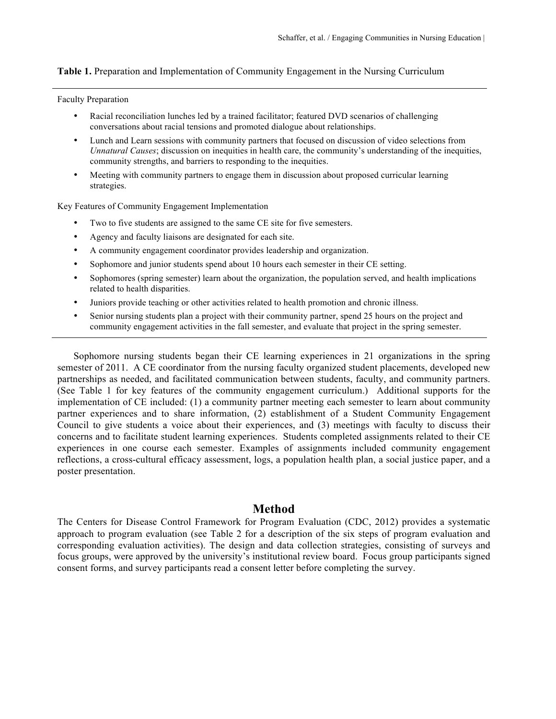#### **Table 1.** Preparation and Implementation of Community Engagement in the Nursing Curriculum

Faculty Preparation

- Racial reconciliation lunches led by a trained facilitator; featured DVD scenarios of challenging conversations about racial tensions and promoted dialogue about relationships.
- Lunch and Learn sessions with community partners that focused on discussion of video selections from *Unnatural Causes*; discussion on inequities in health care, the community's understanding of the inequities, community strengths, and barriers to responding to the inequities.
- Meeting with community partners to engage them in discussion about proposed curricular learning strategies.

Key Features of Community Engagement Implementation

- Two to five students are assigned to the same CE site for five semesters.
- Agency and faculty liaisons are designated for each site.
- A community engagement coordinator provides leadership and organization.
- Sophomore and junior students spend about 10 hours each semester in their CE setting.
- Sophomores (spring semester) learn about the organization, the population served, and health implications related to health disparities.
- Juniors provide teaching or other activities related to health promotion and chronic illness.
- Senior nursing students plan a project with their community partner, spend 25 hours on the project and community engagement activities in the fall semester, and evaluate that project in the spring semester.

Sophomore nursing students began their CE learning experiences in 21 organizations in the spring semester of 2011. A CE coordinator from the nursing faculty organized student placements, developed new partnerships as needed, and facilitated communication between students, faculty, and community partners. (See Table 1 for key features of the community engagement curriculum.) Additional supports for the implementation of CE included: (1) a community partner meeting each semester to learn about community partner experiences and to share information, (2) establishment of a Student Community Engagement Council to give students a voice about their experiences, and (3) meetings with faculty to discuss their concerns and to facilitate student learning experiences. Students completed assignments related to their CE experiences in one course each semester. Examples of assignments included community engagement reflections, a cross-cultural efficacy assessment, logs, a population health plan, a social justice paper, and a poster presentation.

# **Method**

The Centers for Disease Control Framework for Program Evaluation (CDC, 2012) provides a systematic approach to program evaluation (see Table 2 for a description of the six steps of program evaluation and corresponding evaluation activities). The design and data collection strategies, consisting of surveys and focus groups, were approved by the university's institutional review board. Focus group participants signed consent forms, and survey participants read a consent letter before completing the survey.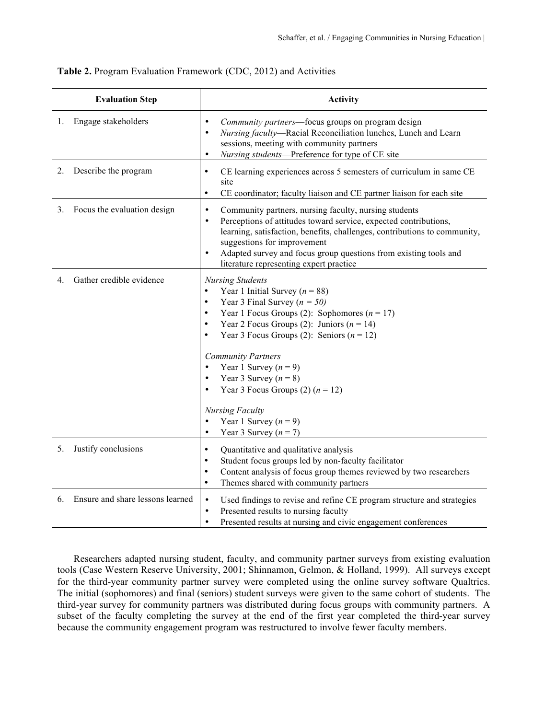| <b>Evaluation Step</b>                  | <b>Activity</b>                                                                                                                                                                                                                                                                                                                                                                                                                                                                                                                                                                                    |
|-----------------------------------------|----------------------------------------------------------------------------------------------------------------------------------------------------------------------------------------------------------------------------------------------------------------------------------------------------------------------------------------------------------------------------------------------------------------------------------------------------------------------------------------------------------------------------------------------------------------------------------------------------|
| Engage stakeholders<br>1.               | Community partners-focus groups on program design<br>$\bullet$<br>Nursing faculty—Racial Reconciliation lunches, Lunch and Learn<br>$\bullet$<br>sessions, meeting with community partners<br>Nursing students-Preference for type of CE site<br>$\bullet$                                                                                                                                                                                                                                                                                                                                         |
| Describe the program<br>2.              | CE learning experiences across 5 semesters of curriculum in same CE<br>$\bullet$<br>site<br>CE coordinator; faculty liaison and CE partner liaison for each site<br>$\bullet$                                                                                                                                                                                                                                                                                                                                                                                                                      |
| Focus the evaluation design<br>3.       | Community partners, nursing faculty, nursing students<br>$\bullet$<br>Perceptions of attitudes toward service, expected contributions,<br>$\bullet$<br>learning, satisfaction, benefits, challenges, contributions to community,<br>suggestions for improvement<br>Adapted survey and focus group questions from existing tools and<br>$\bullet$<br>literature representing expert practice                                                                                                                                                                                                        |
| Gather credible evidence<br>$4_{\cdot}$ | <b>Nursing Students</b><br>Year 1 Initial Survey ( $n = 88$ )<br>$\bullet$<br>Year 3 Final Survey ( $n = 50$ )<br>$\bullet$<br>Year 1 Focus Groups (2): Sophomores ( $n = 17$ )<br>$\bullet$<br>Year 2 Focus Groups (2): Juniors ( $n = 14$ )<br>$\bullet$<br>Year 3 Focus Groups (2): Seniors ( $n = 12$ )<br>$\bullet$<br><b>Community Partners</b><br>Year 1 Survey $(n = 9)$<br>$\bullet$<br>Year 3 Survey $(n = 8)$<br>$\bullet$<br>Year 3 Focus Groups (2) $(n = 12)$<br>$\bullet$<br><b>Nursing Faculty</b><br>Year 1 Survey $(n = 9)$<br>$\bullet$<br>Year 3 Survey $(n = 7)$<br>$\bullet$ |
| Justify conclusions<br>5.               | Quantitative and qualitative analysis<br>$\bullet$<br>Student focus groups led by non-faculty facilitator<br>$\bullet$<br>Content analysis of focus group themes reviewed by two researchers<br>$\bullet$<br>Themes shared with community partners<br>$\bullet$                                                                                                                                                                                                                                                                                                                                    |
| Ensure and share lessons learned<br>6.  | Used findings to revise and refine CE program structure and strategies<br>$\bullet$<br>Presented results to nursing faculty<br>$\bullet$<br>Presented results at nursing and civic engagement conferences<br>$\bullet$                                                                                                                                                                                                                                                                                                                                                                             |

### **Table 2.** Program Evaluation Framework (CDC, 2012) and Activities

Researchers adapted nursing student, faculty, and community partner surveys from existing evaluation tools (Case Western Reserve University, 2001; Shinnamon, Gelmon, & Holland, 1999). All surveys except for the third-year community partner survey were completed using the online survey software Qualtrics. The initial (sophomores) and final (seniors) student surveys were given to the same cohort of students. The third-year survey for community partners was distributed during focus groups with community partners. A subset of the faculty completing the survey at the end of the first year completed the third-year survey because the community engagement program was restructured to involve fewer faculty members.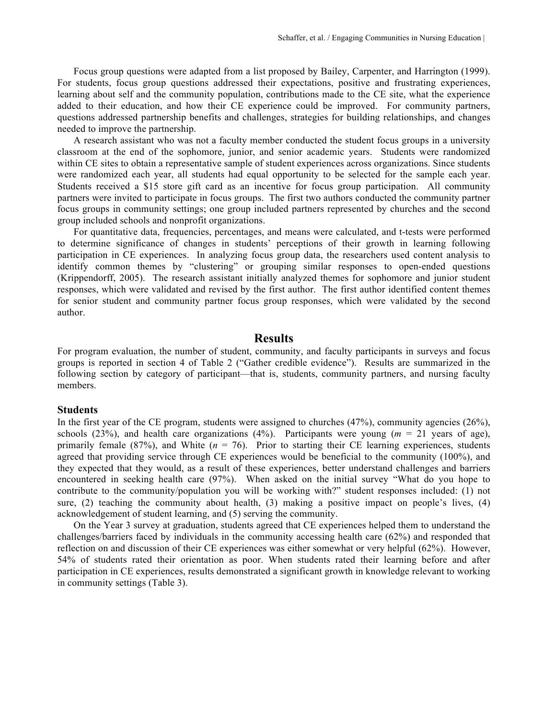Focus group questions were adapted from a list proposed by Bailey, Carpenter, and Harrington (1999). For students, focus group questions addressed their expectations, positive and frustrating experiences, learning about self and the community population, contributions made to the CE site, what the experience added to their education, and how their CE experience could be improved. For community partners, questions addressed partnership benefits and challenges, strategies for building relationships, and changes needed to improve the partnership.

A research assistant who was not a faculty member conducted the student focus groups in a university classroom at the end of the sophomore, junior, and senior academic years. Students were randomized within CE sites to obtain a representative sample of student experiences across organizations. Since students were randomized each year, all students had equal opportunity to be selected for the sample each year. Students received a \$15 store gift card as an incentive for focus group participation. All community partners were invited to participate in focus groups. The first two authors conducted the community partner focus groups in community settings; one group included partners represented by churches and the second group included schools and nonprofit organizations.

For quantitative data, frequencies, percentages, and means were calculated, and t-tests were performed to determine significance of changes in students' perceptions of their growth in learning following participation in CE experiences. In analyzing focus group data, the researchers used content analysis to identify common themes by "clustering" or grouping similar responses to open-ended questions (Krippendorff, 2005). The research assistant initially analyzed themes for sophomore and junior student responses, which were validated and revised by the first author. The first author identified content themes for senior student and community partner focus group responses, which were validated by the second author.

## **Results**

For program evaluation, the number of student, community, and faculty participants in surveys and focus groups is reported in section 4 of Table 2 ("Gather credible evidence"). Results are summarized in the following section by category of participant—that is, students, community partners, and nursing faculty members.

#### **Students**

In the first year of the CE program, students were assigned to churches (47%), community agencies (26%), schools  $(23%)$ , and health care organizations  $(4%)$ . Participants were young  $(m = 21)$  years of age), primarily female  $(87%)$ , and White  $(n = 76)$ . Prior to starting their CE learning experiences, students agreed that providing service through CE experiences would be beneficial to the community (100%), and they expected that they would, as a result of these experiences, better understand challenges and barriers encountered in seeking health care (97%). When asked on the initial survey "What do you hope to contribute to the community/population you will be working with?" student responses included: (1) not sure,  $(2)$  teaching the community about health,  $(3)$  making a positive impact on people's lives,  $(4)$ acknowledgement of student learning, and (5) serving the community.

On the Year 3 survey at graduation, students agreed that CE experiences helped them to understand the challenges/barriers faced by individuals in the community accessing health care (62%) and responded that reflection on and discussion of their CE experiences was either somewhat or very helpful (62%). However, 54% of students rated their orientation as poor. When students rated their learning before and after participation in CE experiences, results demonstrated a significant growth in knowledge relevant to working in community settings (Table 3).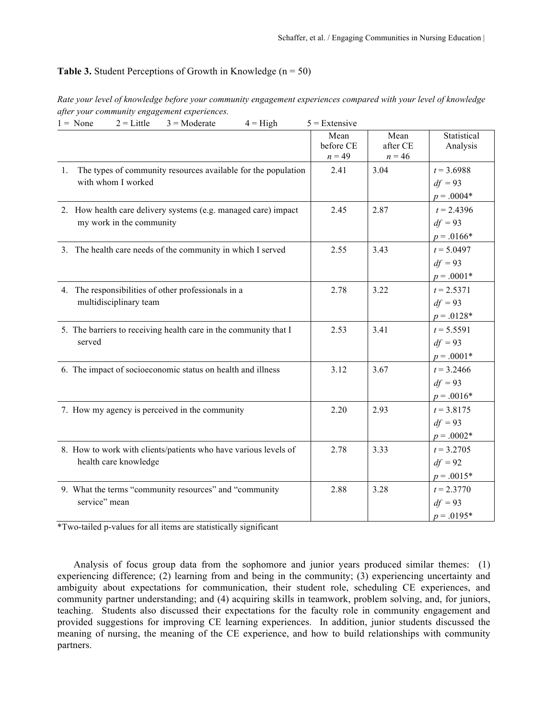### **Table 3.** Student Perceptions of Growth in Knowledge (n = 50)

| Rate your level of knowledge before your community engagement experiences compared with your level of knowledge |  |  |  |  |
|-----------------------------------------------------------------------------------------------------------------|--|--|--|--|
| after your community engagement experiences.                                                                    |  |  |  |  |

| $2 =$ Little<br>$1 = None$<br>$3 = \text{Moderate}$<br>$4 = High$                                  | $5 =$ Extensive               |                              |                                            |
|----------------------------------------------------------------------------------------------------|-------------------------------|------------------------------|--------------------------------------------|
|                                                                                                    | Mean<br>before CE<br>$n = 49$ | Mean<br>after CE<br>$n = 46$ | Statistical<br>Analysis                    |
| The types of community resources available for the population<br>$1_{\cdot}$<br>with whom I worked | 2.41                          | 3.04                         | $t = 3.6988$<br>$df = 93$<br>$p = .0004*$  |
| 2. How health care delivery systems (e.g. managed care) impact<br>my work in the community         | 2.45                          | 2.87                         | $t = 2.4396$<br>$df = 93$<br>$p = .0166*$  |
| 3. The health care needs of the community in which I served                                        | 2.55                          | 3.43                         | $t = 5.0497$<br>$df = 93$<br>$p = .0001*$  |
| 4. The responsibilities of other professionals in a<br>multidisciplinary team                      | 2.78                          | 3.22                         | $t = 2.5371$<br>$df = 93$<br>$p = 0.0128*$ |
| 5. The barriers to receiving health care in the community that I<br>served                         | 2.53                          | 3.41                         | $t = 5.5591$<br>$df = 93$<br>$p = .0001*$  |
| 6. The impact of socioeconomic status on health and illness                                        | 3.12                          | 3.67                         | $t = 3.2466$<br>$df = 93$<br>$p = .0016*$  |
| 7. How my agency is perceived in the community                                                     | 2.20                          | 2.93                         | $t = 3.8175$<br>$df = 93$<br>$p = .0002*$  |
| 8. How to work with clients/patients who have various levels of<br>health care knowledge           | 2.78                          | 3.33                         | $t = 3.2705$<br>$df = 92$<br>$p = .0015*$  |
| 9. What the terms "community resources" and "community<br>service" mean                            | 2.88                          | 3.28                         | $t = 2.3770$<br>$df = 93$<br>$p = .0195*$  |

\*Two-tailed p-values for all items are statistically significant

Analysis of focus group data from the sophomore and junior years produced similar themes: (1) experiencing difference; (2) learning from and being in the community; (3) experiencing uncertainty and ambiguity about expectations for communication, their student role, scheduling CE experiences, and community partner understanding; and (4) acquiring skills in teamwork, problem solving, and, for juniors, teaching. Students also discussed their expectations for the faculty role in community engagement and provided suggestions for improving CE learning experiences. In addition, junior students discussed the meaning of nursing, the meaning of the CE experience, and how to build relationships with community partners.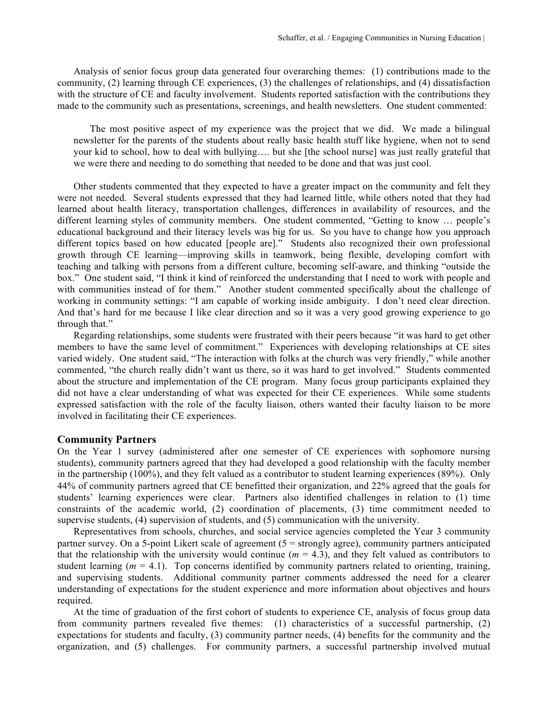Analysis of senior focus group data generated four overarching themes: (1) contributions made to the community, (2) learning through CE experiences, (3) the challenges of relationships, and (4) dissatisfaction with the structure of CE and faculty involvement. Students reported satisfaction with the contributions they made to the community such as presentations, screenings, and health newsletters. One student commented:

The most positive aspect of my experience was the project that we did. We made a bilingual newsletter for the parents of the students about really basic health stuff like hygiene, when not to send your kid to school, how to deal with bullying…. but she [the school nurse] was just really grateful that we were there and needing to do something that needed to be done and that was just cool.

Other students commented that they expected to have a greater impact on the community and felt they were not needed. Several students expressed that they had learned little, while others noted that they had learned about health literacy, transportation challenges, differences in availability of resources, and the different learning styles of community members. One student commented, "Getting to know … people's educational background and their literacy levels was big for us. So you have to change how you approach different topics based on how educated [people are]." Students also recognized their own professional growth through CE learning—improving skills in teamwork, being flexible, developing comfort with teaching and talking with persons from a different culture, becoming self-aware, and thinking "outside the box." One student said, "I think it kind of reinforced the understanding that I need to work with people and with communities instead of for them." Another student commented specifically about the challenge of working in community settings: "I am capable of working inside ambiguity. I don't need clear direction. And that's hard for me because I like clear direction and so it was a very good growing experience to go through that."

Regarding relationships, some students were frustrated with their peers because "it was hard to get other members to have the same level of commitment." Experiences with developing relationships at CE sites varied widely. One student said, "The interaction with folks at the church was very friendly," while another commented, "the church really didn't want us there, so it was hard to get involved." Students commented about the structure and implementation of the CE program. Many focus group participants explained they did not have a clear understanding of what was expected for their CE experiences. While some students expressed satisfaction with the role of the faculty liaison, others wanted their faculty liaison to be more involved in facilitating their CE experiences.

#### **Community Partners**

On the Year 1 survey (administered after one semester of CE experiences with sophomore nursing students), community partners agreed that they had developed a good relationship with the faculty member in the partnership (100%), and they felt valued as a contributor to student learning experiences (89%). Only 44% of community partners agreed that CE benefitted their organization, and 22% agreed that the goals for students' learning experiences were clear. Partners also identified challenges in relation to (1) time constraints of the academic world, (2) coordination of placements, (3) time commitment needed to supervise students, (4) supervision of students, and (5) communication with the university.

Representatives from schools, churches, and social service agencies completed the Year 3 community partner survey. On a 5-point Likert scale of agreement (5 = strongly agree), community partners anticipated that the relationship with the university would continue  $(m = 4.3)$ , and they felt valued as contributors to student learning ( $m = 4.1$ ). Top concerns identified by community partners related to orienting, training, and supervising students. Additional community partner comments addressed the need for a clearer understanding of expectations for the student experience and more information about objectives and hours required.

At the time of graduation of the first cohort of students to experience CE, analysis of focus group data from community partners revealed five themes: (1) characteristics of a successful partnership, (2) expectations for students and faculty, (3) community partner needs, (4) benefits for the community and the organization, and (5) challenges. For community partners, a successful partnership involved mutual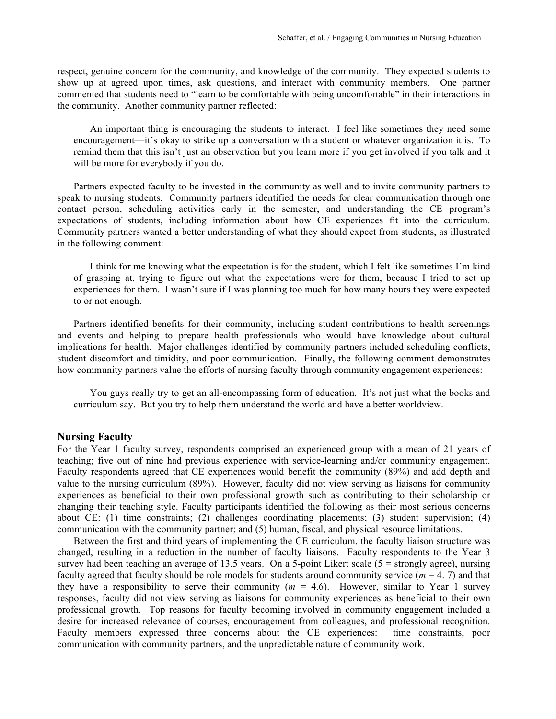respect, genuine concern for the community, and knowledge of the community. They expected students to show up at agreed upon times, ask questions, and interact with community members. One partner commented that students need to "learn to be comfortable with being uncomfortable" in their interactions in the community. Another community partner reflected:

An important thing is encouraging the students to interact. I feel like sometimes they need some encouragement—it's okay to strike up a conversation with a student or whatever organization it is. To remind them that this isn't just an observation but you learn more if you get involved if you talk and it will be more for everybody if you do.

Partners expected faculty to be invested in the community as well and to invite community partners to speak to nursing students. Community partners identified the needs for clear communication through one contact person, scheduling activities early in the semester, and understanding the CE program's expectations of students, including information about how CE experiences fit into the curriculum. Community partners wanted a better understanding of what they should expect from students, as illustrated in the following comment:

I think for me knowing what the expectation is for the student, which I felt like sometimes I'm kind of grasping at, trying to figure out what the expectations were for them, because I tried to set up experiences for them. I wasn't sure if I was planning too much for how many hours they were expected to or not enough.

Partners identified benefits for their community, including student contributions to health screenings and events and helping to prepare health professionals who would have knowledge about cultural implications for health. Major challenges identified by community partners included scheduling conflicts, student discomfort and timidity, and poor communication. Finally, the following comment demonstrates how community partners value the efforts of nursing faculty through community engagement experiences:

You guys really try to get an all-encompassing form of education. It's not just what the books and curriculum say. But you try to help them understand the world and have a better worldview.

## **Nursing Faculty**

For the Year 1 faculty survey, respondents comprised an experienced group with a mean of 21 years of teaching; five out of nine had previous experience with service-learning and/or community engagement. Faculty respondents agreed that CE experiences would benefit the community (89%) and add depth and value to the nursing curriculum (89%). However, faculty did not view serving as liaisons for community experiences as beneficial to their own professional growth such as contributing to their scholarship or changing their teaching style. Faculty participants identified the following as their most serious concerns about CE: (1) time constraints; (2) challenges coordinating placements; (3) student supervision; (4) communication with the community partner; and (5) human, fiscal, and physical resource limitations.

Between the first and third years of implementing the CE curriculum, the faculty liaison structure was changed, resulting in a reduction in the number of faculty liaisons. Faculty respondents to the Year 3 survey had been teaching an average of 13.5 years. On a 5-point Likert scale (5 = strongly agree), nursing faculty agreed that faculty should be role models for students around community service (*m* = 4. 7) and that they have a responsibility to serve their community  $(m = 4.6)$ . However, similar to Year 1 survey responses, faculty did not view serving as liaisons for community experiences as beneficial to their own professional growth. Top reasons for faculty becoming involved in community engagement included a desire for increased relevance of courses, encouragement from colleagues, and professional recognition. Faculty members expressed three concerns about the CE experiences: time constraints, poor communication with community partners, and the unpredictable nature of community work.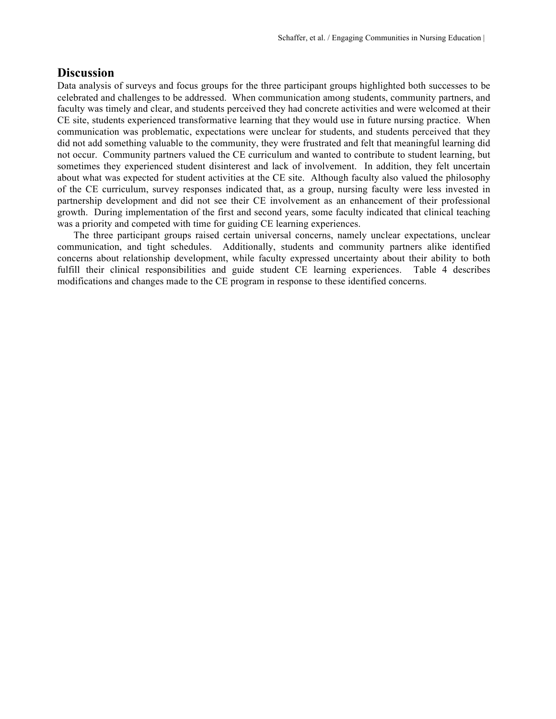# **Discussion**

Data analysis of surveys and focus groups for the three participant groups highlighted both successes to be celebrated and challenges to be addressed. When communication among students, community partners, and faculty was timely and clear, and students perceived they had concrete activities and were welcomed at their CE site, students experienced transformative learning that they would use in future nursing practice. When communication was problematic, expectations were unclear for students, and students perceived that they did not add something valuable to the community, they were frustrated and felt that meaningful learning did not occur. Community partners valued the CE curriculum and wanted to contribute to student learning, but sometimes they experienced student disinterest and lack of involvement. In addition, they felt uncertain about what was expected for student activities at the CE site. Although faculty also valued the philosophy of the CE curriculum, survey responses indicated that, as a group, nursing faculty were less invested in partnership development and did not see their CE involvement as an enhancement of their professional growth. During implementation of the first and second years, some faculty indicated that clinical teaching was a priority and competed with time for guiding CE learning experiences.

The three participant groups raised certain universal concerns, namely unclear expectations, unclear communication, and tight schedules. Additionally, students and community partners alike identified concerns about relationship development, while faculty expressed uncertainty about their ability to both fulfill their clinical responsibilities and guide student CE learning experiences. Table 4 describes modifications and changes made to the CE program in response to these identified concerns.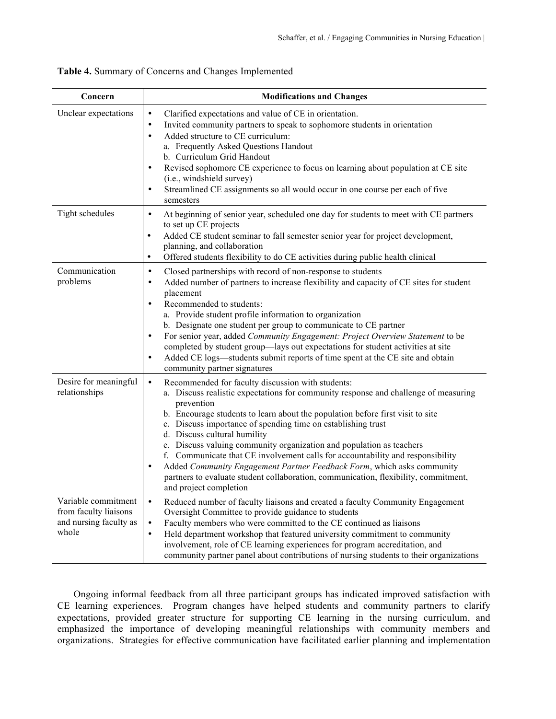| Concern                                                                         | <b>Modifications and Changes</b>                                                                                                                                                                                                                                                                                                                                                                                                                                                                                                                                                                                                                                                                                        |
|---------------------------------------------------------------------------------|-------------------------------------------------------------------------------------------------------------------------------------------------------------------------------------------------------------------------------------------------------------------------------------------------------------------------------------------------------------------------------------------------------------------------------------------------------------------------------------------------------------------------------------------------------------------------------------------------------------------------------------------------------------------------------------------------------------------------|
| Unclear expectations                                                            | Clarified expectations and value of CE in orientation.<br>$\bullet$<br>Invited community partners to speak to sophomore students in orientation<br>$\bullet$<br>Added structure to CE curriculum:<br>$\bullet$<br>a. Frequently Asked Questions Handout<br>b. Curriculum Grid Handout<br>Revised sophomore CE experience to focus on learning about population at CE site<br>$\bullet$<br>(i.e., windshield survey)<br>Streamlined CE assignments so all would occur in one course per each of five<br>$\bullet$<br>semesters                                                                                                                                                                                           |
| Tight schedules                                                                 | At beginning of senior year, scheduled one day for students to meet with CE partners<br>$\bullet$<br>to set up CE projects<br>Added CE student seminar to fall semester senior year for project development,<br>$\bullet$<br>planning, and collaboration<br>Offered students flexibility to do CE activities during public health clinical<br>$\bullet$                                                                                                                                                                                                                                                                                                                                                                 |
| Communication<br>problems                                                       | Closed partnerships with record of non-response to students<br>$\bullet$<br>Added number of partners to increase flexibility and capacity of CE sites for student<br>$\bullet$<br>placement<br>Recommended to students:<br>$\bullet$<br>a. Provide student profile information to organization<br>b. Designate one student per group to communicate to CE partner<br>For senior year, added Community Engagement: Project Overview Statement to be<br>$\bullet$<br>completed by student group-lays out expectations for student activities at site<br>Added CE logs—students submit reports of time spent at the CE site and obtain<br>$\bullet$<br>community partner signatures                                        |
| Desire for meaningful<br>relationships                                          | Recommended for faculty discussion with students:<br>$\bullet$<br>a. Discuss realistic expectations for community response and challenge of measuring<br>prevention<br>b. Encourage students to learn about the population before first visit to site<br>c. Discuss importance of spending time on establishing trust<br>d. Discuss cultural humility<br>e. Discuss valuing community organization and population as teachers<br>f. Communicate that CE involvement calls for accountability and responsibility<br>Added Community Engagement Partner Feedback Form, which asks community<br>$\bullet$<br>partners to evaluate student collaboration, communication, flexibility, commitment,<br>and project completion |
| Variable commitment<br>from faculty liaisons<br>and nursing faculty as<br>whole | Reduced number of faculty liaisons and created a faculty Community Engagement<br>$\bullet$<br>Oversight Committee to provide guidance to students<br>Faculty members who were committed to the CE continued as liaisons<br>$\bullet$<br>Held department workshop that featured university commitment to community<br>$\bullet$<br>involvement, role of CE learning experiences for program accreditation, and<br>community partner panel about contributions of nursing students to their organizations                                                                                                                                                                                                                 |

|  |  |  |  |  | Table 4. Summary of Concerns and Changes Implemented |
|--|--|--|--|--|------------------------------------------------------|
|--|--|--|--|--|------------------------------------------------------|

Ongoing informal feedback from all three participant groups has indicated improved satisfaction with CE learning experiences. Program changes have helped students and community partners to clarify expectations, provided greater structure for supporting CE learning in the nursing curriculum, and emphasized the importance of developing meaningful relationships with community members and organizations. Strategies for effective communication have facilitated earlier planning and implementation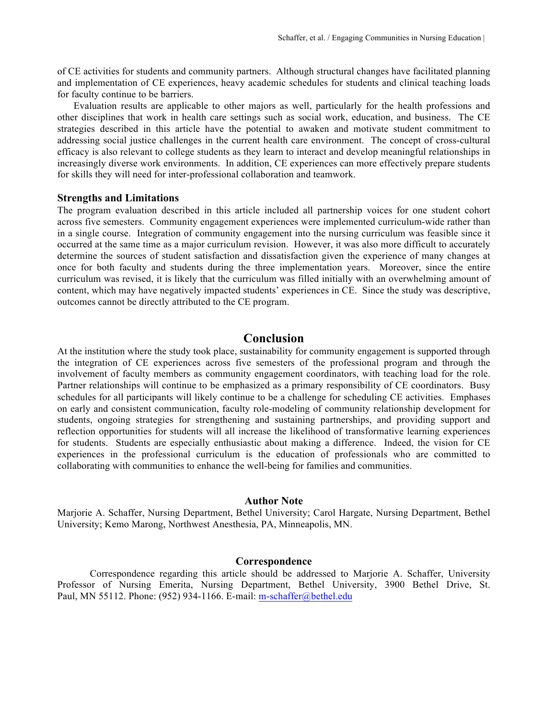of CE activities for students and community partners. Although structural changes have facilitated planning and implementation of CE experiences, heavy academic schedules for students and clinical teaching loads for faculty continue to be barriers.

Evaluation results are applicable to other majors as well, particularly for the health professions and other disciplines that work in health care settings such as social work, education, and business. The CE strategies described in this article have the potential to awaken and motivate student commitment to addressing social justice challenges in the current health care environment. The concept of cross-cultural efficacy is also relevant to college students as they learn to interact and develop meaningful relationships in increasingly diverse work environments. In addition, CE experiences can more effectively prepare students for skills they will need for inter-professional collaboration and teamwork.

#### **Strengths and Limitations**

The program evaluation described in this article included all partnership voices for one student cohort across five semesters. Community engagement experiences were implemented curriculum-wide rather than in a single course. Integration of community engagement into the nursing curriculum was feasible since it occurred at the same time as a major curriculum revision. However, it was also more difficult to accurately determine the sources of student satisfaction and dissatisfaction given the experience of many changes at once for both faculty and students during the three implementation years. Moreover, since the entire curriculum was revised, it is likely that the curriculum was filled initially with an overwhelming amount of content, which may have negatively impacted students' experiences in CE. Since the study was descriptive, outcomes cannot be directly attributed to the CE program.

## **Conclusion**

At the institution where the study took place, sustainability for community engagement is supported through the integration of CE experiences across five semesters of the professional program and through the involvement of faculty members as community engagement coordinators, with teaching load for the role. Partner relationships will continue to be emphasized as a primary responsibility of CE coordinators. Busy schedules for all participants will likely continue to be a challenge for scheduling CE activities. Emphases on early and consistent communication, faculty role-modeling of community relationship development for students, ongoing strategies for strengthening and sustaining partnerships, and providing support and reflection opportunities for students will all increase the likelihood of transformative learning experiences for students. Students are especially enthusiastic about making a difference. Indeed, the vision for CE experiences in the professional curriculum is the education of professionals who are committed to collaborating with communities to enhance the well-being for families and communities.

#### **Author Note**

Marjorie A. Schaffer, Nursing Department, Bethel University; Carol Hargate, Nursing Department, Bethel University; Kemo Marong, Northwest Anesthesia, PA, Minneapolis, MN.

### **Correspondence**

Correspondence regarding this article should be addressed to Marjorie A. Schaffer, University Professor of Nursing Emerita, Nursing Department, Bethel University, 3900 Bethel Drive, St. Paul, MN 55112. Phone: (952) 934-1166. E-mail: m-schaffer@bethel.edu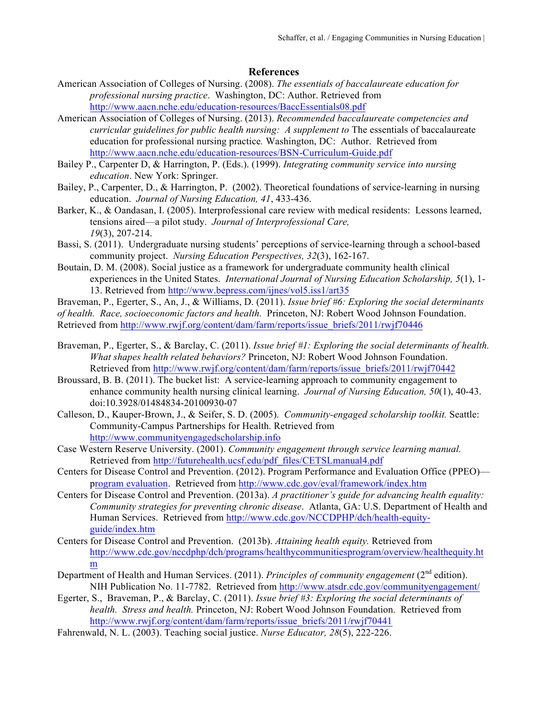# **References**

- American Association of Colleges of Nursing. (2008). *The essentials of baccalaureate education for professional nursing practice*. Washington, DC: Author. Retrieved from http://www.aacn.nche.edu/education-resources/BaccEssentials08.pdf
- American Association of Colleges of Nursing. (2013). *Recommended baccalaureate competencies and curricular guidelines for public health nursing: A supplement to* The essentials of baccalaureate education for professional nursing practice*.* Washington, DC: Author. Retrieved from http://www.aacn.nche.edu/education-resources/BSN-Curriculum-Guide.pdf
- Bailey P., Carpenter D, & Harrington, P. (Eds.). (1999). *Integrating community service into nursing education*. New York: Springer.
- Bailey, P., Carpenter, D., & Harrington, P. (2002). Theoretical foundations of service-learning in nursing education. *Journal of Nursing Education, 41*, 433-436.
- Barker, K., & Oandasan, I. (2005). Interprofessional care review with medical residents: Lessons learned, tensions aired—a pilot study. *Journal of Interprofessional Care, 19*(3), 207-214.
- Bassi, S. (2011). Undergraduate nursing students' perceptions of service-learning through a school-based community project. *Nursing Education Perspectives, 32*(3), 162-167.
- Boutain, D. M. (2008). Social justice as a framework for undergraduate community health clinical experiences in the United States. *International Journal of Nursing Education Scholarship, 5*(1), 1- 13. Retrieved from http://www.bepress.com/ijnes/vol5.iss1/art35

Braveman, P., Egerter, S., An, J., & Williams, D. (2011). *Issue brief #6: Exploring the social determinants of health. Race, socioeconomic factors and health.* Princeton, NJ: Robert Wood Johnson Foundation. Retrieved from http://www.rwjf.org/content/dam/farm/reports/issue\_briefs/2011/rwjf70446

- Braveman, P., Egerter, S., & Barclay, C. (2011). *Issue brief #1: Exploring the social determinants of health. What shapes health related behaviors?* Princeton, NJ: Robert Wood Johnson Foundation. Retrieved from http://www.rwjf.org/content/dam/farm/reports/issue\_briefs/2011/rwjf70442
- Broussard, B. B. (2011). The bucket list: A service-learning approach to community engagement to enhance community health nursing clinical learning. *Journal of Nursing Education, 50*(1), 40-43. doi:10.3928/01484834-20100930-07
- Calleson, D., Kauper-Brown, J., & Seifer, S. D. (2005). *Community-engaged scholarship toolkit.* Seattle: Community-Campus Partnerships for Health. Retrieved from http://www.communityengagedscholarship.info
- Case Western Reserve University. (2001). *Community engagement through service learning manual.* Retrieved from http://futurehealth.ucsf.edu/pdf\_files/CETSLmanual4.pdf
- Centers for Disease Control and Prevention. (2012). Program Performance and Evaluation Office (PPEO) program evaluation. Retrieved from http://www.cdc.gov/eval/framework/index.htm
- Centers for Disease Control and Prevention. (2013a). *A practitioner's guide for advancing health equality: Community strategies for preventing chronic disease*. Atlanta, GA: U.S. Department of Health and Human Services. Retrieved from http://www.cdc.gov/NCCDPHP/dch/health-equityguide/index.htm
- Centers for Disease Control and Prevention. (2013b). *Attaining health equity.* Retrieved from http://www.cdc.gov/nccdphp/dch/programs/healthycommunitiesprogram/overview/healthequity.ht m
- Department of Health and Human Services. (2011). *Principles of community engagement* (2nd edition). NIH Publication No. 11-7782. Retrieved from http://www.atsdr.cdc.gov/communityengagement/
- Egerter, S., Braveman, P., & Barclay, C. (2011). *Issue brief #3: Exploring the social determinants of health. Stress and health.* Princeton, NJ: Robert Wood Johnson Foundation. Retrieved from http://www.rwjf.org/content/dam/farm/reports/issue\_briefs/2011/rwjf70441
- Fahrenwald, N. L. (2003). Teaching social justice. *Nurse Educator, 28*(5), 222-226.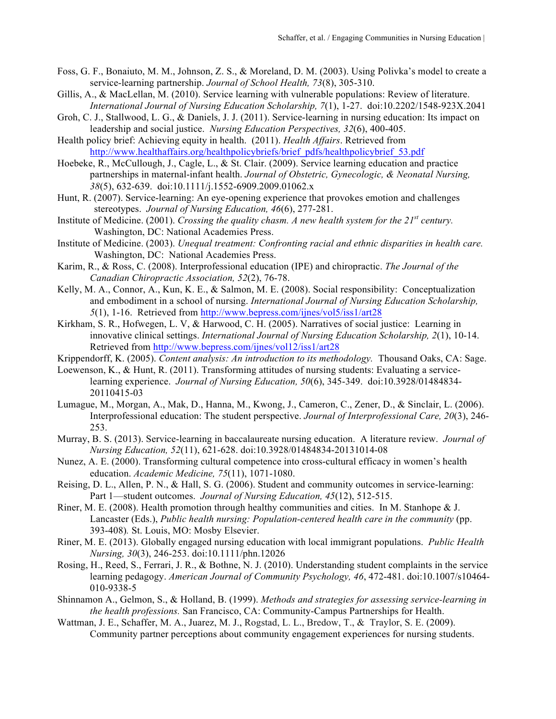- Foss, G. F., Bonaiuto, M. M., Johnson, Z. S., & Moreland, D. M. (2003). Using Polivka's model to create a service-learning partnership. *Journal of School Health, 73*(8), 305-310.
- Gillis, A., & MacLellan, M. (2010). Service learning with vulnerable populations: Review of literature. *International Journal of Nursing Education Scholarship, 7*(1), 1-27. doi:10.2202/1548-923X.2041
- Groh, C. J., Stallwood, L. G., & Daniels, J. J. (2011). Service-learning in nursing education: Its impact on leadership and social justice. *Nursing Education Perspectives, 32*(6), 400-405.
- Health policy brief: Achieving equity in health. (2011). *Health Affairs*. Retrieved from http://www.healthaffairs.org/healthpolicybriefs/brief\_pdfs/healthpolicybrief\_53.pdf
- Hoebeke, R., McCullough, J., Cagle, L., & St. Clair. (2009). Service learning education and practice partnerships in maternal-infant health. *Journal of Obstetric, Gynecologic, & Neonatal Nursing, 38*(5), 632-639. doi:10.1111/j.1552-6909.2009.01062.x
- Hunt, R. (2007). Service-learning: An eye-opening experience that provokes emotion and challenges stereotypes. *Journal of Nursing Education, 46*(6), 277-281.
- Institute of Medicine. (2001). *Crossing the quality chasm. A new health system for the 21st century.* Washington, DC: National Academies Press.
- Institute of Medicine. (2003). *Unequal treatment: Confronting racial and ethnic disparities in health care.* Washington, DC: National Academies Press.
- Karim, R., & Ross, C. (2008). Interprofessional education (IPE) and chiropractic. *The Journal of the Canadian Chiropractic Association, 52*(2), 76-78.
- Kelly, M. A., Connor, A., Kun, K. E., & Salmon, M. E. (2008). Social responsibility: Conceptualization and embodiment in a school of nursing. *International Journal of Nursing Education Scholarship, 5*(1), 1-16. Retrieved from http://www.bepress.com/ijnes/vol5/iss1/art28
- Kirkham, S. R., Hofwegen, L. V, & Harwood, C. H. (2005). Narratives of social justice: Learning in innovative clinical settings. *International Journal of Nursing Education Scholarship, 2*(1), 10-14. Retrieved from http://www.bepress.com/ijnes/vol12/iss1/art28
- Krippendorff, K. (2005). *Content analysis: An introduction to its methodology.* Thousand Oaks, CA: Sage.
- Loewenson, K., & Hunt, R. (2011). Transforming attitudes of nursing students: Evaluating a servicelearning experience. *Journal of Nursing Education, 50*(6), 345-349. doi:10.3928/01484834- 20110415-03
- Lumague, M., Morgan, A., Mak, D., Hanna, M., Kwong, J., Cameron, C., Zener, D., & Sinclair, L. (2006). Interprofessional education: The student perspective. *Journal of Interprofessional Care, 20*(3), 246- 253.
- Murray, B. S. (2013). Service-learning in baccalaureate nursing education. A literature review. *Journal of Nursing Education, 52*(11), 621-628. doi:10.3928/01484834-20131014-08
- Nunez, A. E. (2000). Transforming cultural competence into cross-cultural efficacy in women's health education. *Academic Medicine, 75*(11), 1071-1080.
- Reising, D. L., Allen, P. N., & Hall, S. G. (2006). Student and community outcomes in service-learning: Part 1—student outcomes. *Journal of Nursing Education, 45*(12), 512-515.
- Riner, M. E. (2008). Health promotion through healthy communities and cities. In M. Stanhope & J. Lancaster (Eds.), *Public health nursing: Population-centered health care in the community* (pp. 393-408)*.* St. Louis, MO: Mosby Elsevier.
- Riner, M. E. (2013). Globally engaged nursing education with local immigrant populations. *Public Health Nursing, 30*(3), 246-253. doi:10.1111/phn.12026
- Rosing, H., Reed, S., Ferrari, J. R., & Bothne, N. J. (2010). Understanding student complaints in the service learning pedagogy. *American Journal of Community Psychology, 46*, 472-481. doi:10.1007/s10464- 010-9338-5
- Shinnamon A., Gelmon, S., & Holland, B. (1999). *Methods and strategies for assessing service-learning in the health professions.* San Francisco, CA: Community-Campus Partnerships for Health.
- Wattman, J. E., Schaffer, M. A., Juarez, M. J., Rogstad, L. L., Bredow, T., & Traylor, S. E. (2009). Community partner perceptions about community engagement experiences for nursing students.